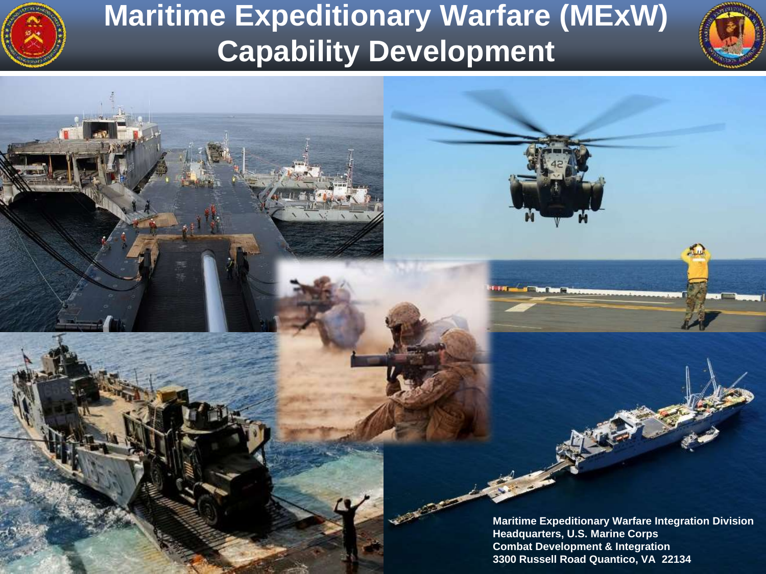

UNCLASSIFIED AND

### **Maritime Expeditionary Warfare (MExW) Capability Development**



XD.

**Maritime Expeditionary Warfare Integration Division Headquarters, U.S. Marine Corps Combat Development & Integration 3300 Russell Road Quantico, VA 22134**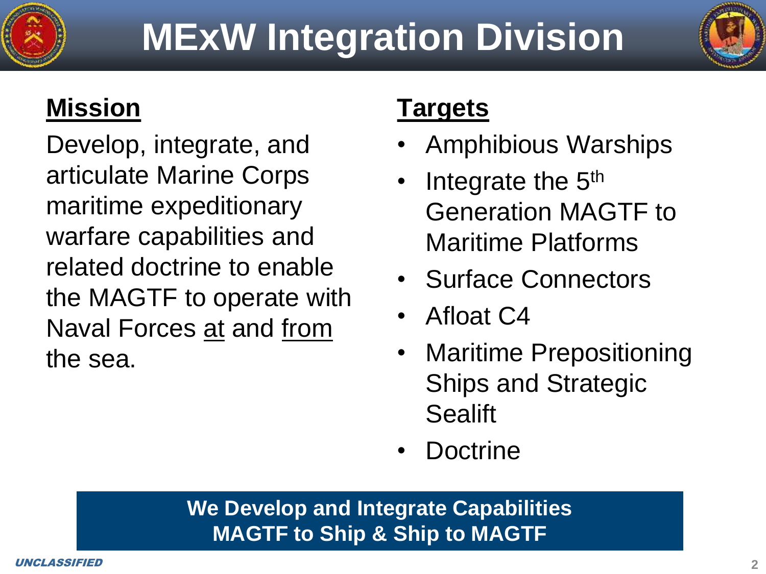



#### **Mission**

Develop, integrate, and articulate Marine Corps maritime expeditionary warfare capabilities and related doctrine to enable the MAGTF to operate with Naval Forces at and from the sea.

#### **Targets**

- Amphibious Warships
- Integrate the  $5<sup>th</sup>$ Generation MAGTF to Maritime Platforms
- Surface Connectors
- Afloat C4
- **Maritime Prepositioning** Ships and Strategic **Sealift**
- **Doctrine**

#### **We Develop and Integrate Capabilities MAGTF to Ship & Ship to MAGTF**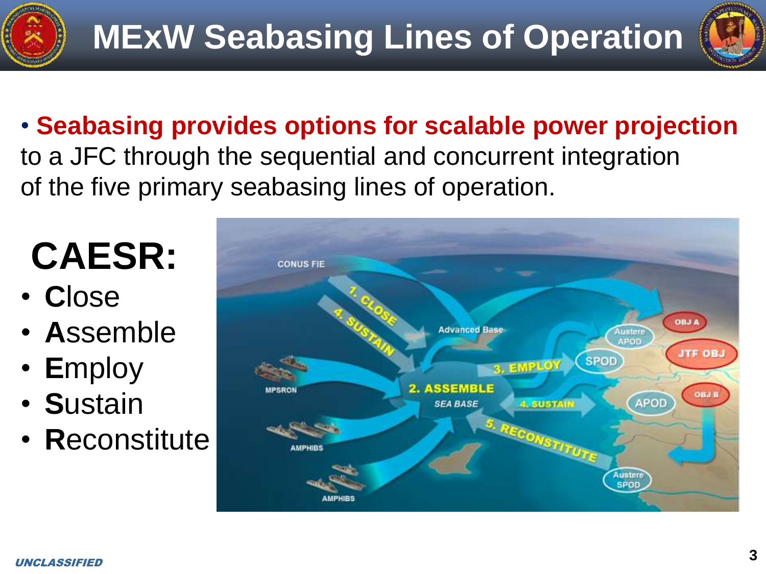



• **Seabasing provides options for scalable power projection**  to a JFC through the sequential and concurrent integration of the five primary seabasing lines of operation.

# **CAESR:**

- **C**lose
- **A**ssemble
- **E**mploy
- **S**ustain
- **R**econstitute

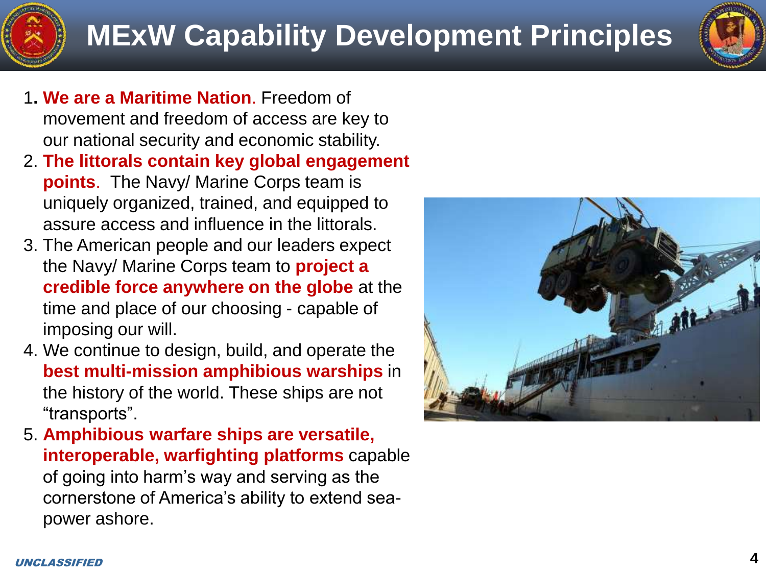- 1**. We are a Maritime Nation**. Freedom of movement and freedom of access are key to our national security and economic stability.
- 2. **The littorals contain key global engagement points**. The Navy/ Marine Corps team is uniquely organized, trained, and equipped to assure access and influence in the littorals.
- 3. The American people and our leaders expect the Navy/ Marine Corps team to **project a credible force anywhere on the globe** at the time and place of our choosing - capable of imposing our will.
- 4. We continue to design, build, and operate the **best multi-mission amphibious warships** in the history of the world. These ships are not "transports".
- 5. **Amphibious warfare ships are versatile, interoperable, warfighting platforms** capable of going into harm's way and serving as the cornerstone of America's ability to extend seapower ashore.



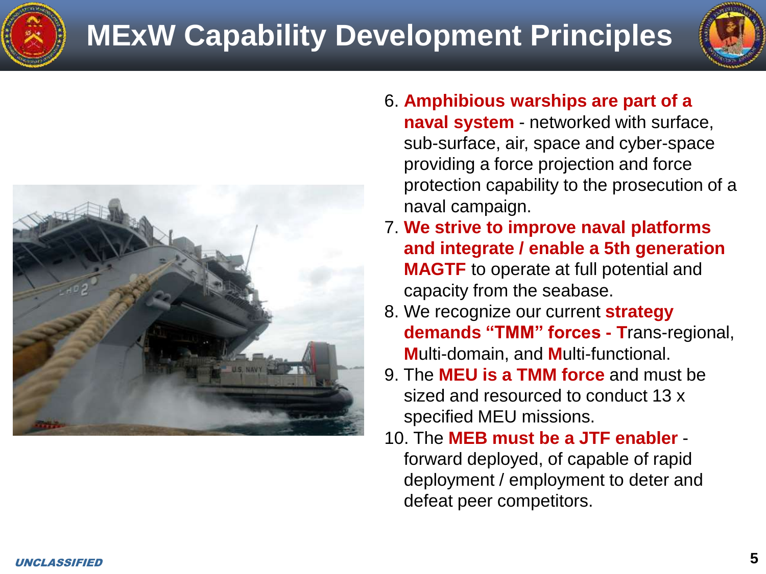## **MExW Capability Development Principles**





- 6. **Amphibious warships are part of a naval system** - networked with surface, sub-surface, air, space and cyber-space providing a force projection and force protection capability to the prosecution of a naval campaign.
- 7. **We strive to improve naval platforms and integrate / enable a 5th generation MAGTF** to operate at full potential and capacity from the seabase.
- 8. We recognize our current **strategy demands "TMM" forces - T**rans-regional, **M**ulti-domain, and **M**ulti-functional.
- 9. The **MEU is a TMM force** and must be sized and resourced to conduct 13 x specified MEU missions.
- 10. The **MEB must be a JTF enabler**  forward deployed, of capable of rapid deployment / employment to deter and defeat peer competitors.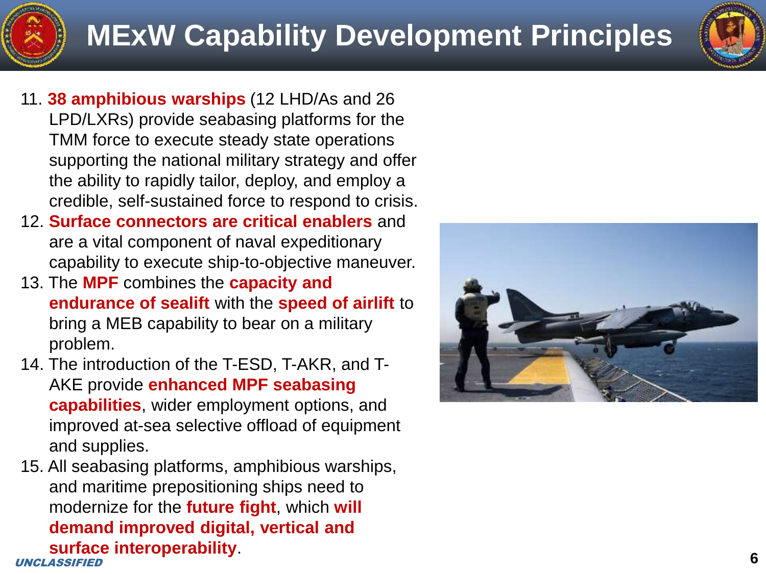- 11. **38 amphibious warships** (12 LHD/As and 26 LPD/LXRs) provide seabasing platforms for the TMM force to execute steady state operations supporting the national military strategy and offer the ability to rapidly tailor, deploy, and employ a credible, self-sustained force to respond to crisis.
- 12. **Surface connectors are critical enablers** and are a vital component of naval expeditionary capability to execute ship-to-objective maneuver.
- 13. The **MPF** combines the **capacity and endurance of sealift** with the **speed of airlift** to bring a MEB capability to bear on a military problem.
- 14. The introduction of the T-ESD, T-AKR, and T-AKE provide **enhanced MPF seabasing capabilities**, wider employment options, and improved at-sea selective offload of equipment and supplies.
- UNCLASSIFIED 15. All seabasing platforms, amphibious warships, and maritime prepositioning ships need to modernize for the **future fight**, which **will demand improved digital, vertical and surface interoperability**.

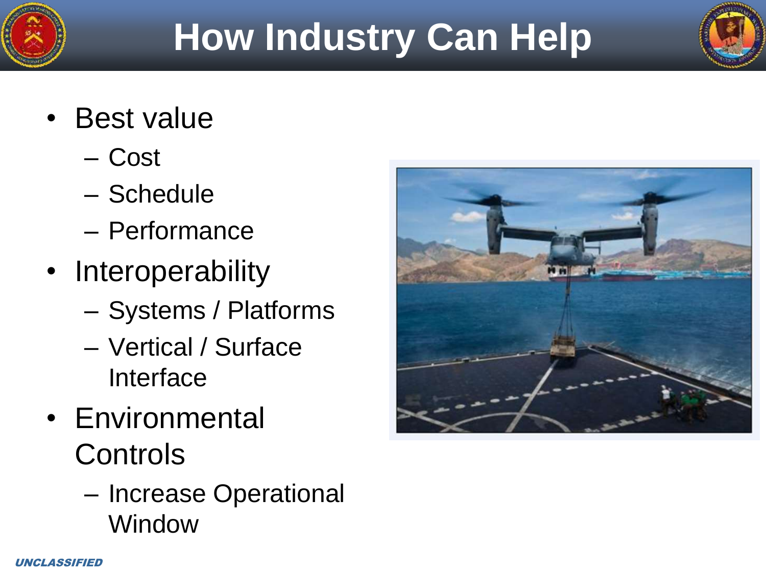

# **How Industry Can Help**

- Best value
	- Cost
	- Schedule
	- Performance
- Interoperability
	- Systems / Platforms
	- Vertical / Surface Interface
- Environmental **Controls** 
	- Increase Operational **Window**

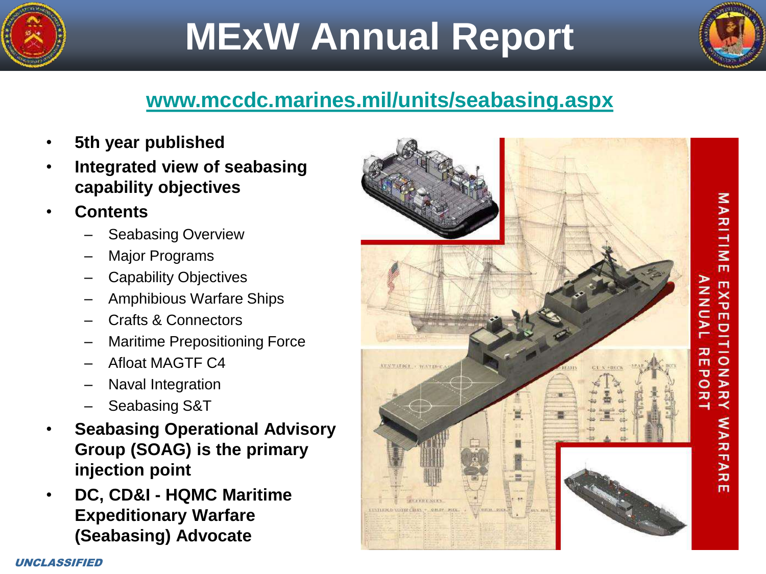

# **MExW Annual Report**



#### **[www.mccdc.marines.mil/units/seabasing.aspx](http://www.mccdc.marines.mil/units.seabasing.aspx)**

- **5th year published**
- **Integrated view of seabasing capability objectives**
- **Contents**
	- Seabasing Overview
	- **Major Programs**
	- Capability Objectives
	- Amphibious Warfare Ships
	- Crafts & Connectors
	- Maritime Prepositioning Force
	- Afloat MAGTF C4
	- Naval Integration
	- Seabasing S&T
- **Seabasing Operational Advisory Group (SOAG) is the primary injection point**
- **DC, CD&I - HQMC Maritime Expeditionary Warfare (Seabasing) Advocate**